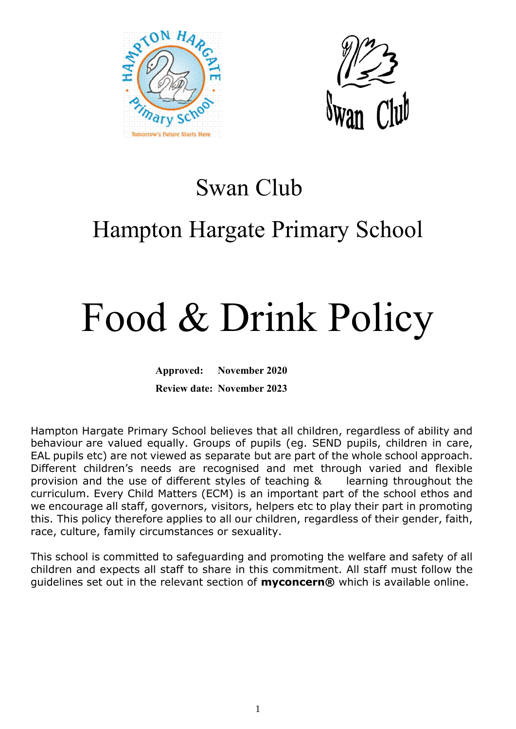



### Swan Club

## Hampton Hargate Primary School

# Food & Drink Policy

**Approved: November 2020 Review date: November 2023**

Hampton Hargate Primary School believes that all children, regardless of ability and behaviour are valued equally. Groups of pupils (eg. SEND pupils, children in care, EAL pupils etc) are not viewed as separate but are part of the whole school approach. Different children's needs are recognised and met through varied and flexible provision and the use of different styles of teaching & learning throughout the curriculum. Every Child Matters (ECM) is an important part of the school ethos and we encourage all staff, governors, visitors, helpers etc to play their part in promoting this. This policy therefore applies to all our children, regardless of their gender, faith, race, culture, family circumstances or sexuality.

This school is committed to safeguarding and promoting the welfare and safety of all children and expects all staff to share in this commitment. All staff must follow the guidelines set out in the relevant section of **myconcern®** which is available online.